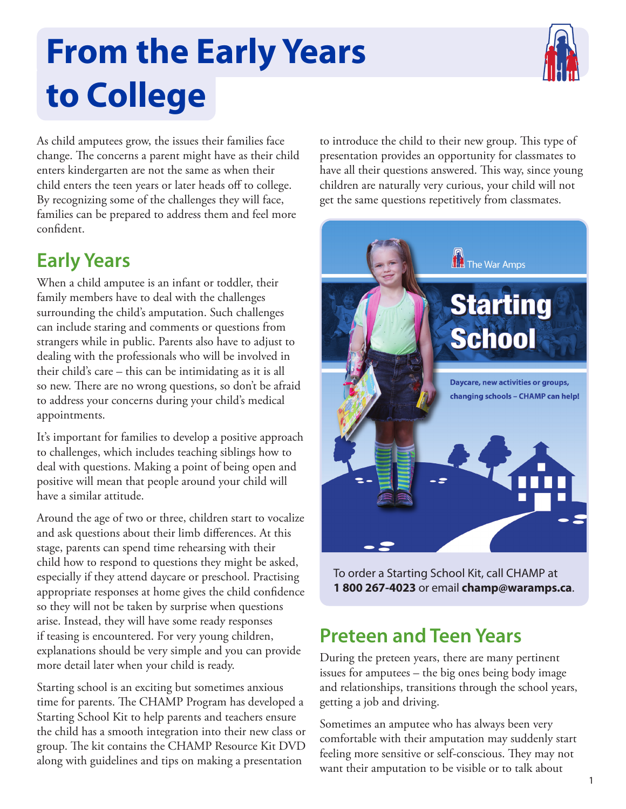## **From the Early Years to College**



As child amputees grow, the issues their families face change. The concerns a parent might have as their child enters kindergarten are not the same as when their child enters the teen years or later heads off to college. By recognizing some of the challenges they will face, families can be prepared to address them and feel more confident.

## **Early Years**

When a child amputee is an infant or toddler, their family members have to deal with the challenges surrounding the child's amputation. Such challenges can include staring and comments or questions from strangers while in public. Parents also have to adjust to dealing with the professionals who will be involved in their child's care – this can be intimidating as it is all so new. There are no wrong questions, so don't be afraid to address your concerns during your child's medical appointments.

It's important for families to develop a positive approach to challenges, which includes teaching siblings how to deal with questions. Making a point of being open and positive will mean that people around your child will have a similar attitude.

Around the age of two or three, children start to vocalize and ask questions about their limb differences. At this stage, parents can spend time rehearsing with their child how to respond to questions they might be asked, especially if they attend daycare or preschool. Practising appropriate responses at home gives the child confidence so they will not be taken by surprise when questions arise. Instead, they will have some ready responses if teasing is encountered. For very young children, explanations should be very simple and you can provide more detail later when your child is ready.

Starting school is an exciting but sometimes anxious time for parents. The CHAMP Program has developed a Starting School Kit to help parents and teachers ensure the child has a smooth integration into their new class or group. The kit contains the CHAMP Resource Kit DVD along with guidelines and tips on making a presentation

to introduce the child to their new group. This type of presentation provides an opportunity for classmates to have all their questions answered. This way, since young children are naturally very curious, your child will not get the same questions repetitively from classmates.



To order a Starting School Kit, call CHAMP at **1 800 267-4023** or email **[champ@waramps.ca](mailto:champ@waramps.ca)**.

## **Preteen and Teen Years**

During the preteen years, there are many pertinent issues for amputees – the big ones being body image and relationships, transitions through the school years, getting a job and driving.

Sometimes an amputee who has always been very comfortable with their amputation may suddenly start feeling more sensitive or self-conscious. They may not want their amputation to be visible or to talk about